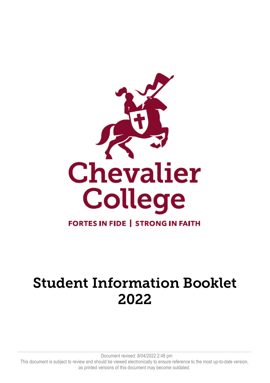

# Student Information Booklet 2022

Document revised: 8/04/2022 2:48 pm This document is subject to review and should be viewed electronically to ensure reference to the most up-to-date version, as printed versions of this document may become outdated.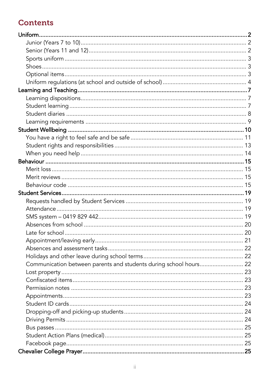# **Contents**

| Communication between parents and students during school hours 22 |  |
|-------------------------------------------------------------------|--|
|                                                                   |  |
|                                                                   |  |
|                                                                   |  |
|                                                                   |  |
|                                                                   |  |
|                                                                   |  |
|                                                                   |  |
|                                                                   |  |
|                                                                   |  |
|                                                                   |  |
|                                                                   |  |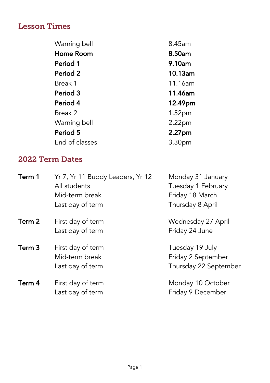# Lesson Times

| Warning bell   | 8.45am             |
|----------------|--------------------|
| Home Room      | 8.50am             |
| Period 1       | 9.10am             |
| Period 2       | 10.13am            |
| Break 1        | 11.16am            |
| Period 3       | 11.46am            |
| Period 4       | 12.49pm            |
| Break 2        | 1.52 <sub>pm</sub> |
| Warning bell   | 2.22 <sub>pm</sub> |
| Period 5       | 2.27pm             |
| End of classes | 3.30 <sub>pm</sub> |

# 2022 Term Dates

| Term 1 | Yr 7, Yr 11 Buddy Leaders, Yr 12<br>All students<br>Mid-term break<br>Last day of term | Monday 31 January<br>Tuesday 1 February<br>Friday 18 March<br>Thursday 8 April |
|--------|----------------------------------------------------------------------------------------|--------------------------------------------------------------------------------|
| Term 2 | First day of term<br>Last day of term                                                  | Wednesday 27 April<br>Friday 24 June                                           |
| Term 3 | First day of term<br>Mid-term break<br>Last day of term                                | Tuesday 19 July<br>Friday 2 September<br>Thursday 22 September                 |
| Term 4 | First day of term<br>Last day of term                                                  | Monday 10 October<br>Friday 9 December                                         |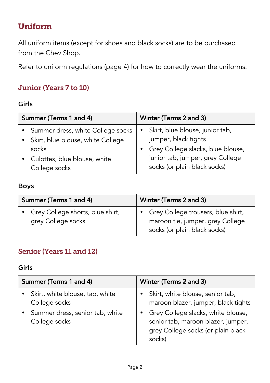# Uniform

All uniform items (except for shoes and black socks) are to be purchased from the Chev Shop.

Refer to uniform regulations (page 4) for how to correctly wear the uniforms.

## Junior (Years 7 to 10)

#### Girls

| Summer (Terms 1 and 4) |                                     | Winter (Terms 2 and 3)   |                                   |
|------------------------|-------------------------------------|--------------------------|-----------------------------------|
|                        | • Summer dress, white College socks | $\mathbf{r}$ . $\bullet$ | Skirt, blue blouse, junior tab,   |
|                        | • Skirt, blue blouse, white College |                          | jumper, black tights              |
|                        | socks                               |                          | Grey College slacks, blue blouse, |
|                        | Culottes, blue blouse, white        |                          | junior tab, jumper, grey College  |
|                        | College socks                       |                          | socks (or plain black socks)      |

#### Boys

| Summer (Terms 1 and 4)                                   | Winter (Terms 2 and 3)                                                                                   |
|----------------------------------------------------------|----------------------------------------------------------------------------------------------------------|
| • Grey College shorts, blue shirt,<br>grey College socks | • Grey College trousers, blue shirt,<br>maroon tie, jumper, grey College<br>socks (or plain black socks) |

## Senior (Years 11 and 12)

#### Girls

| Summer (Terms 1 and 4)                                                                               | Winter (Terms 2 and 3)                                                                                                                                                                              |  |
|------------------------------------------------------------------------------------------------------|-----------------------------------------------------------------------------------------------------------------------------------------------------------------------------------------------------|--|
| Skirt, white blouse, tab, white<br>College socks<br>Summer dress, senior tab, white<br>College socks | Skirt, white blouse, senior tab,<br>maroon blazer, jumper, black tights<br>Grey College slacks, white blouse,<br>senior tab, maroon blazer, jumper,<br>grey College socks (or plain black<br>socks) |  |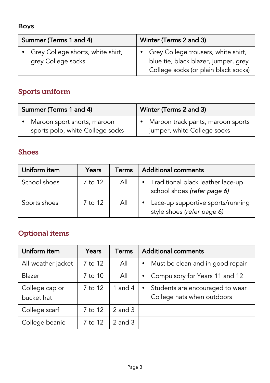#### Boys

| Summer (Terms 1 and 4) |                                                           | Winter (Terms 2 and 3) |                                                                                                                       |
|------------------------|-----------------------------------------------------------|------------------------|-----------------------------------------------------------------------------------------------------------------------|
|                        | • Grey College shorts, white shirt,<br>grey College socks |                        | • Grey College trousers, white shirt,<br>blue tie, black blazer, jumper, grey<br>College socks (or plain black socks) |

# Sports uniform

| Summer (Terms 1 and 4)           | Winter (Terms 2 and 3)              |  |
|----------------------------------|-------------------------------------|--|
| Maroon sport shorts, maroon      | • Maroon track pants, maroon sports |  |
| sports polo, white College socks | jumper, white College socks         |  |

## Shoes

| Uniform item | Years   | Terms | <b>Additional comments</b>                                                    |
|--------------|---------|-------|-------------------------------------------------------------------------------|
| School shoes | 7 to 12 | All   | Traditional black leather lace-up<br>$\bullet$<br>school shoes (refer page 6) |
| Sports shoes | 7 to 12 | All   | Lace-up supportive sports/running<br>style shoes (refer page 6)               |

# Optional items

| Uniform item                 | Years   | Terms       | <b>Additional comments</b>                                                 |
|------------------------------|---------|-------------|----------------------------------------------------------------------------|
| All-weather jacket           | 7 to 12 | All         | Must be clean and in good repair<br>$\bullet$                              |
| Blazer                       | 7 to 10 | All         | Compulsory for Years 11 and 12<br>$\bullet$                                |
| College cap or<br>bucket hat | 7 to 12 | 1 and $4$   | Students are encouraged to wear<br>$\bullet$<br>College hats when outdoors |
| College scarf                | 7 to 12 | $2$ and $3$ |                                                                            |
| College beanie               | 7 to 12 | $2$ and $3$ |                                                                            |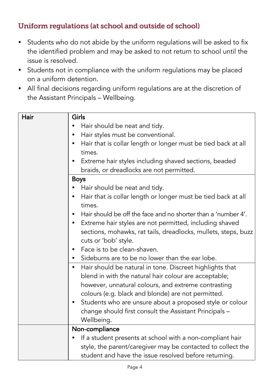## Uniform regulations (at school and outside of school)

- Students who do not abide by the uniform regulations will be asked to fix the identified problem and may be asked to not return to school until the issue is resolved.
- Students not in compliance with the uniform regulations may be placed on a uniform detention.
- All final decisions regarding uniform regulations are at the discretion of the Assistant Principals – Wellbeing.

| Hair | Girls                                                                 |
|------|-----------------------------------------------------------------------|
|      | Hair should be neat and tidy.                                         |
|      | Hair styles must be conventional.                                     |
|      | Hair that is collar length or longer must be tied back at all<br>٠    |
|      | times.                                                                |
|      | Extreme hair styles including shaved sections, beaded                 |
|      | braids, or dreadlocks are not permitted.                              |
|      | <b>Boys</b>                                                           |
|      | Hair should be neat and tidy.                                         |
|      | Hair that is collar length or longer must be tied back at all         |
|      | times.                                                                |
|      | Hair should be off the face and no shorter than a 'number 4'.         |
|      | Extreme hair styles are not permitted, including shaved               |
|      | sections, mohawks, rat tails, dreadlocks, mullets, steps, buzz        |
|      | cuts or 'bob' style.                                                  |
|      | Face is to be clean-shaven.                                           |
|      | Sideburns are to be no lower than the ear lobe.                       |
|      | Hair should be natural in tone. Discreet highlights that<br>$\bullet$ |
|      | blend in with the natural hair colour are acceptable;                 |
|      | however, unnatural colours, and extreme contrasting                   |
|      | colours (e.g. black and blonde) are not permitted.                    |
|      | Students who are unsure about a proposed style or colour              |
|      | change should first consult the Assistant Principals -                |
|      | Wellbeing.                                                            |
|      | Non-compliance                                                        |
|      | If a student presents at school with a non-compliant hair<br>٠        |
|      | style, the parent/caregiver may be contacted to collect the           |
|      | student and have the issue resolved before returning.                 |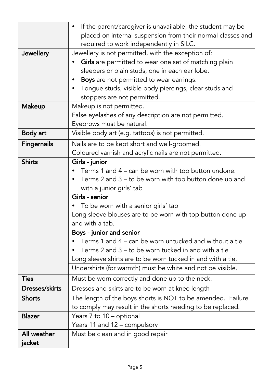|                    | If the parent/caregiver is unavailable, the student may be  |  |  |  |  |  |
|--------------------|-------------------------------------------------------------|--|--|--|--|--|
|                    | placed on internal suspension from their normal classes and |  |  |  |  |  |
|                    | required to work independently in SILC.                     |  |  |  |  |  |
| Jewellery          | Jewellery is not permitted, with the exception of:          |  |  |  |  |  |
|                    | Girls are permitted to wear one set of matching plain       |  |  |  |  |  |
|                    | sleepers or plain studs, one in each ear lobe.              |  |  |  |  |  |
|                    | Boys are not permitted to wear earrings.<br>$\bullet$       |  |  |  |  |  |
|                    | Tongue studs, visible body piercings, clear studs and       |  |  |  |  |  |
|                    | stoppers are not permitted.                                 |  |  |  |  |  |
| <b>Makeup</b>      | Makeup is not permitted.                                    |  |  |  |  |  |
|                    | False eyelashes of any description are not permitted.       |  |  |  |  |  |
|                    | Eyebrows must be natural.                                   |  |  |  |  |  |
| Body art           | Visible body art (e.g. tattoos) is not permitted.           |  |  |  |  |  |
| <b>Fingernails</b> | Nails are to be kept short and well-groomed.                |  |  |  |  |  |
|                    | Coloured varnish and acrylic nails are not permitted.       |  |  |  |  |  |
| <b>Shirts</b>      | Girls - junior                                              |  |  |  |  |  |
|                    | Terms 1 and 4 – can be worn with top button undone.         |  |  |  |  |  |
|                    | Terms 2 and 3 – to be worn with top button done up and      |  |  |  |  |  |
|                    | with a junior girls' tab                                    |  |  |  |  |  |
|                    | Girls - senior                                              |  |  |  |  |  |
|                    | To be worn with a senior girls' tab                         |  |  |  |  |  |
|                    | Long sleeve blouses are to be worn with top button done up  |  |  |  |  |  |
|                    | and with a tab.                                             |  |  |  |  |  |
|                    | Boys - junior and senior                                    |  |  |  |  |  |
|                    | Terms 1 and 4 – can be worn untucked and without a tie      |  |  |  |  |  |
|                    | Terms 2 and 3 – to be worn tucked in and with a tie         |  |  |  |  |  |
|                    | Long sleeve shirts are to be worn tucked in and with a tie. |  |  |  |  |  |
|                    | Undershirts (for warmth) must be white and not be visible.  |  |  |  |  |  |
| <b>Ties</b>        | Must be worn correctly and done up to the neck.             |  |  |  |  |  |
| Dresses/skirts     | Dresses and skirts are to be worn at knee length            |  |  |  |  |  |
| <b>Shorts</b>      | The length of the boys shorts is NOT to be amended. Failure |  |  |  |  |  |
|                    | to comply may result in the shorts needing to be replaced.  |  |  |  |  |  |
| <b>Blazer</b>      | Years 7 to 10 - optional                                    |  |  |  |  |  |
|                    | Years 11 and 12 - compulsory                                |  |  |  |  |  |
| All weather        | Must be clean and in good repair                            |  |  |  |  |  |
| jacket             |                                                             |  |  |  |  |  |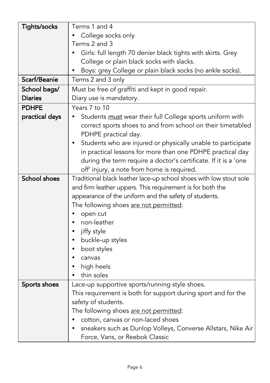| Tights/socks        | Terms 1 and 4                                                             |
|---------------------|---------------------------------------------------------------------------|
|                     | College socks only                                                        |
|                     | Terms 2 and 3                                                             |
|                     | Girls: full length 70 denier black tights with skirts. Grey               |
|                     | College or plain black socks with slacks.                                 |
|                     | Boys: grey College or plain black socks (no ankle socks).<br>٠            |
| Scarf/Beanie        | Terms 2 and 3 only                                                        |
| School bags/        | Must be free of graffiti and kept in good repair.                         |
| <b>Diaries</b>      | Diary use is mandatory.                                                   |
| <b>PDHPE</b>        | Years 7 to 10                                                             |
| practical days      | Students must wear their full College sports uniform with                 |
|                     | correct sports shoes to and from school on their timetabled               |
|                     | PDHPE practical day.                                                      |
|                     | Students who are injured or physically unable to participate<br>$\bullet$ |
|                     | in practical lessons for more than one PDHPE practical day                |
|                     | during the term require a doctor's certificate. If it is a 'one           |
|                     | off' injury, a note from home is required.                                |
| <b>School shoes</b> | Traditional black leather lace-up school shoes with low stout sole        |
|                     | and firm leather uppers. This requirement is for both the                 |
|                     | appearance of the uniform and the safety of students.                     |
|                     | The following shoes are not permitted:                                    |
|                     | open cut                                                                  |
|                     | non-leather                                                               |
|                     | jiffy style<br>$\bullet$                                                  |
|                     | buckle-up styles                                                          |
|                     | boot styles                                                               |
|                     | canvas<br>$\bullet$                                                       |
|                     | high heels                                                                |
|                     | thin soles                                                                |
| Sports shoes        | Lace-up supportive sports/running style shoes.                            |
|                     | This requirement is both for support during sport and for the             |
|                     | safety of students.                                                       |
|                     | The following shoes are not permitted:                                    |
|                     | cotton, canvas or non-laced shoes<br>$\bullet$                            |
|                     | sneakers such as Dunlop Volleys, Converse Allstars, Nike Air              |
|                     | Force, Vans, or Reebok Classic                                            |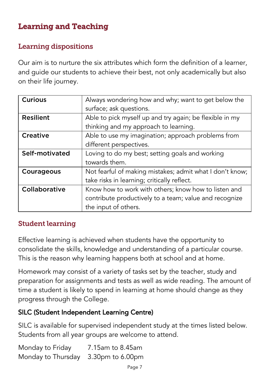# Learning and Teaching

## Learning dispositions

Our aim is to nurture the six attributes which form the definition of a learner, and guide our students to achieve their best, not only academically but also on their life journey.

| <b>Curious</b>   | Always wondering how and why; want to get below the      |
|------------------|----------------------------------------------------------|
|                  | surface; ask questions.                                  |
| <b>Resilient</b> | Able to pick myself up and try again; be flexible in my  |
|                  | thinking and my approach to learning.                    |
| Creative         | Able to use my imagination; approach problems from       |
|                  | different perspectives.                                  |
| Self-motivated   | Loving to do my best; setting goals and working          |
|                  | towards them.                                            |
| Courageous       | Not fearful of making mistakes; admit what I don't know; |
|                  | take risks in learning; critically reflect.              |
| Collaborative    | Know how to work with others; know how to listen and     |
|                  | contribute productively to a team; value and recognize   |
|                  | the input of others.                                     |

## Student learning

Effective learning is achieved when students have the opportunity to consolidate the skills, knowledge and understanding of a particular course. This is the reason why learning happens both at school and at home.

Homework may consist of a variety of tasks set by the teacher, study and preparation for assignments and tests as well as wide reading. The amount of time a student is likely to spend in learning at home should change as they progress through the College.

## SILC (Student Independent Learning Centre)

SILC is available for supervised independent study at the times listed below. Students from all year groups are welcome to attend.

Monday to Friday 7.15am to 8.45am Monday to Thursday 3.30pm to 6.00pm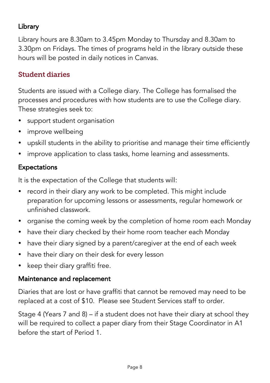# **Library**

Library hours are 8.30am to 3.45pm Monday to Thursday and 8.30am to 3.30pm on Fridays. The times of programs held in the library outside these hours will be posted in daily notices in Canvas.

## Student diaries

Students are issued with a College diary. The College has formalised the processes and procedures with how students are to use the College diary. These strategies seek to:

- support student organisation
- improve wellbeing
- upskill students in the ability to prioritise and manage their time efficiently
- improve application to class tasks, home learning and assessments.

## **Expectations**

It is the expectation of the College that students will:

- record in their diary any work to be completed. This might include preparation for upcoming lessons or assessments, regular homework or unfinished classwork.
- organise the coming week by the completion of home room each Monday
- have their diary checked by their home room teacher each Monday
- have their diary signed by a parent/caregiver at the end of each week
- have their diary on their desk for every lesson
- keep their diary graffiti free.

## Maintenance and replacement

Diaries that are lost or have graffiti that cannot be removed may need to be replaced at a cost of \$10. Please see Student Services staff to order.

Stage 4 (Years 7 and 8) – if a student does not have their diary at school they will be required to collect a paper diary from their Stage Coordinator in A1 before the start of Period 1.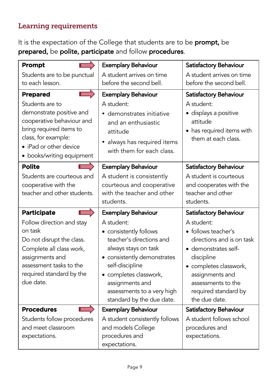## Learning requirements

It is the expectation of the College that students are to be prompt, be prepared, be polite, participate and follow procedures.

| Prompt                                                                                                                                                                               | <b>Exemplary Behaviour</b>                                                                                                                                                                                            | Satisfactory Behaviour                                                                                                                                                                                           |
|--------------------------------------------------------------------------------------------------------------------------------------------------------------------------------------|-----------------------------------------------------------------------------------------------------------------------------------------------------------------------------------------------------------------------|------------------------------------------------------------------------------------------------------------------------------------------------------------------------------------------------------------------|
| Students are to be punctual                                                                                                                                                          | A student arrives on time                                                                                                                                                                                             | A student arrives on time                                                                                                                                                                                        |
| to each lesson.                                                                                                                                                                      | before the second bell.                                                                                                                                                                                               | before the second bell.                                                                                                                                                                                          |
| <b>Prepared</b>                                                                                                                                                                      | <b>Exemplary Behaviour</b>                                                                                                                                                                                            | Satisfactory Behaviour                                                                                                                                                                                           |
| Students are to<br>demonstrate positive and<br>cooperative behaviour and<br>bring required items to<br>class, for example:<br>• iPad or other device<br>• books/writing equipment    | A student:<br>· demonstrates initiative<br>and an enthusiastic<br>attitude<br>always has required items<br>with them for each class.                                                                                  | A student:<br>· displays a positive<br>attitude<br>• has required items with<br>them at each class.                                                                                                              |
| <b>Polite</b>                                                                                                                                                                        | <b>Exemplary Behaviour</b>                                                                                                                                                                                            | Satisfactory Behaviour                                                                                                                                                                                           |
| Students are courteous and<br>cooperative with the<br>teacher and other students.                                                                                                    | A student is consistently<br>courteous and cooperative<br>with the teacher and other<br>students.                                                                                                                     | A student is courteous<br>and cooperates with the<br>teacher and other<br>students.                                                                                                                              |
| <b>Participate</b>                                                                                                                                                                   | <b>Exemplary Behaviour</b>                                                                                                                                                                                            | Satisfactory Behaviour                                                                                                                                                                                           |
|                                                                                                                                                                                      |                                                                                                                                                                                                                       |                                                                                                                                                                                                                  |
| Follow direction and stay<br>on task<br>Do not disrupt the class.<br>Complete all class work,<br>assignments and<br>assessment tasks to the<br>required standard by the<br>due date. | A student:<br>• consistently follows<br>teacher's directions and<br>always stays on task<br>· consistently demonstrates<br>self-discipline<br>• completes classwork,<br>assignments and<br>assessments to a very high | A student:<br>· follows teacher's<br>directions and is on task<br>• demonstrates self-<br>discipline<br>• completes classwork,<br>assignments and<br>assessments to the<br>required standard by<br>the due date. |
| <b>Procedures</b>                                                                                                                                                                    | standard by the due date.<br><b>Exemplary Behaviour</b>                                                                                                                                                               | Satisfactory Behaviour                                                                                                                                                                                           |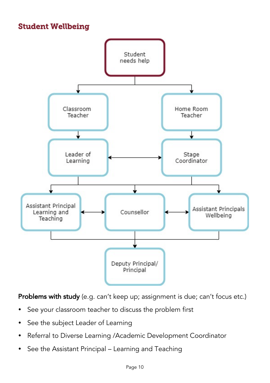# Student Wellbeing



Problems with study (e.g. can't keep up; assignment is due; can't focus etc.)

- See your classroom teacher to discuss the problem first
- See the subject Leader of Learning
- Referral to Diverse Learning /Academic Development Coordinator
- See the Assistant Principal Learning and Teaching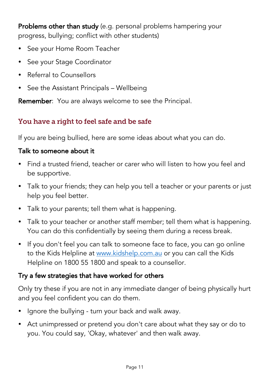Problems other than study (e.g. personal problems hampering your progress, bullying; conflict with other students)

- See your Home Room Teacher
- See your Stage Coordinator
- Referral to Counsellors
- See the Assistant Principals Wellbeing

Remember: You are always welcome to see the Principal.

## You have a right to feel safe and be safe

If you are being bullied, here are some ideas about what you can do.

## Talk to someone about it

- Find a trusted friend, teacher or carer who will listen to how you feel and be supportive.
- Talk to your friends; they can help you tell a teacher or your parents or just help you feel better.
- Talk to your parents; tell them what is happening.
- Talk to your teacher or another staff member; tell them what is happening. You can do this confidentially by seeing them during a recess break.
- If you don't feel you can talk to someone face to face, you can go online to the Kids Helpline at www.kidshelp.com.au or you can call the Kids Helpline on 1800 55 1800 and speak to a counsellor.

## Try a few strategies that have worked for others

Only try these if you are not in any immediate danger of being physically hurt and you feel confident you can do them.

- Ignore the bullying turn your back and walk away.
- Act unimpressed or pretend you don't care about what they say or do to you. You could say, 'Okay, whatever' and then walk away.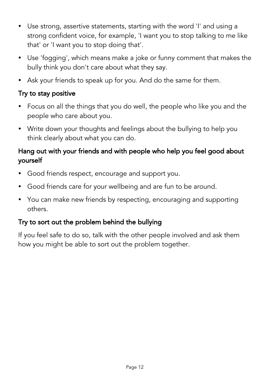- Use strong, assertive statements, starting with the word 'I' and using a strong confident voice, for example, 'I want you to stop talking to me like that' or 'I want you to stop doing that'.
- Use 'fogging', which means make a joke or funny comment that makes the bully think you don't care about what they say.
- Ask your friends to speak up for you. And do the same for them.

## Try to stay positive

- Focus on all the things that you do well, the people who like you and the people who care about you.
- Write down your thoughts and feelings about the bullying to help you think clearly about what you can do.

## Hang out with your friends and with people who help you feel good about yourself

- Good friends respect, encourage and support you.
- Good friends care for your wellbeing and are fun to be around.
- You can make new friends by respecting, encouraging and supporting others.

## Try to sort out the problem behind the bullying

If you feel safe to do so, talk with the other people involved and ask them how you might be able to sort out the problem together.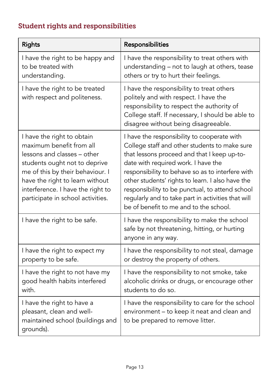# Student rights and responsibilities

| <b>Rights</b>                                                                                                                                                                                                                                                           | Responsibilities                                                                                                                                                                                                                                                                                                                                                                                                                              |
|-------------------------------------------------------------------------------------------------------------------------------------------------------------------------------------------------------------------------------------------------------------------------|-----------------------------------------------------------------------------------------------------------------------------------------------------------------------------------------------------------------------------------------------------------------------------------------------------------------------------------------------------------------------------------------------------------------------------------------------|
| I have the right to be happy and<br>to be treated with<br>understanding.                                                                                                                                                                                                | I have the responsibility to treat others with<br>understanding - not to laugh at others, tease<br>others or try to hurt their feelings.                                                                                                                                                                                                                                                                                                      |
| I have the right to be treated<br>with respect and politeness.                                                                                                                                                                                                          | I have the responsibility to treat others<br>politely and with respect. I have the<br>responsibility to respect the authority of<br>College staff. If necessary, I should be able to<br>disagree without being disagreeable.                                                                                                                                                                                                                  |
| I have the right to obtain<br>maximum benefit from all<br>lessons and classes - other<br>students ought not to deprive<br>me of this by their behaviour. I<br>have the right to learn without<br>interference. I have the right to<br>participate in school activities. | I have the responsibility to cooperate with<br>College staff and other students to make sure<br>that lessons proceed and that I keep up-to-<br>date with required work. I have the<br>responsibility to behave so as to interfere with<br>other students' rights to learn. I also have the<br>responsibility to be punctual, to attend school<br>regularly and to take part in activities that will<br>be of benefit to me and to the school. |
| I have the right to be safe.                                                                                                                                                                                                                                            | I have the responsibility to make the school<br>safe by not threatening, hitting, or hurting<br>anyone in any way.                                                                                                                                                                                                                                                                                                                            |
| I have the right to expect my<br>property to be safe.                                                                                                                                                                                                                   | I have the responsibility to not steal, damage<br>or destroy the property of others.                                                                                                                                                                                                                                                                                                                                                          |
| I have the right to not have my<br>good health habits interfered<br>with.                                                                                                                                                                                               | I have the responsibility to not smoke, take<br>alcoholic drinks or drugs, or encourage other<br>students to do so.                                                                                                                                                                                                                                                                                                                           |
| I have the right to have a<br>pleasant, clean and well-<br>maintained school (buildings and<br>grounds).                                                                                                                                                                | I have the responsibility to care for the school<br>environment - to keep it neat and clean and<br>to be prepared to remove litter.                                                                                                                                                                                                                                                                                                           |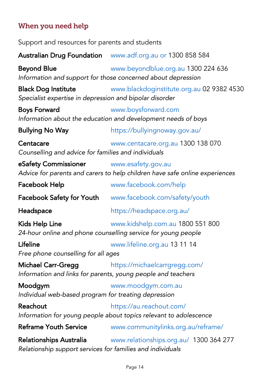# When you need help

| Support and resources for parents and students                                            |                                                                                                    |
|-------------------------------------------------------------------------------------------|----------------------------------------------------------------------------------------------------|
|                                                                                           | Australian Drug Foundation www.adf.org.au or 1300 858 584                                          |
| <b>Beyond Blue</b>                                                                        | www.beyondblue.org.au 1300 224 636<br>Information and support for those concerned about depression |
| <b>Black Dog Institute</b><br>Specialist expertise in depression and bipolar disorder     | www.blackdoginstitute.org.au 02 9382 4530                                                          |
| <b>Boys Forward</b>                                                                       | www.boysforward.com<br>Information about the education and development needs of boys               |
| <b>Bullying No Way</b>                                                                    | https://bullyingnoway.gov.au/                                                                      |
| Centacare<br>Counselling and advice for families and individuals                          | www.centacare.org.au 1300 138 070                                                                  |
| eSafety Commissioner                                                                      | www.esafety.gov.au<br>Advice for parents and carers to help children have safe online experiences  |
| Facebook Help                                                                             | www.facebook.com/help                                                                              |
| <b>Facebook Safety for Youth</b>                                                          | www.facebook.com/safety/youth                                                                      |
| Headspace                                                                                 | https://headspace.org.au/                                                                          |
| Kids Help Line                                                                            | www.kidshelp.com.au 1800 551 800<br>24-hour online and phone counselling service for young people  |
| Lifeline<br>Free phone counselling for all ages                                           | www.lifeline.org.au 13 11 14                                                                       |
| <b>Michael Carr-Gregg</b><br>Information and links for parents, young people and teachers | https://michaelcarrgregg.com/                                                                      |
| Moodgym<br>Individual web-based program for treating depression                           | www.moodgym.com.au                                                                                 |
| Reachout                                                                                  | https://au.reachout.com/<br>Information for young people about topics relevant to adolescence      |
| <b>Reframe Youth Service</b>                                                              | www.communitylinks.org.au/reframe/                                                                 |
| Relationships Australia<br>Relationship support services for families and individuals     | www.relationships.org.au/ 1300 364 277                                                             |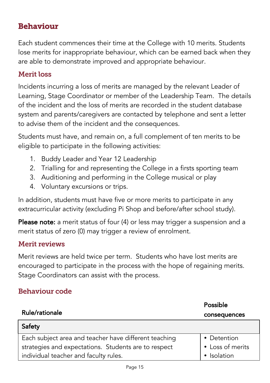## Behaviour

Each student commences their time at the College with 10 merits. Students lose merits for inappropriate behaviour, which can be earned back when they are able to demonstrate improved and appropriate behaviour.

#### Merit loss

Incidents incurring a loss of merits are managed by the relevant Leader of Learning, Stage Coordinator or member of the Leadership Team. The details of the incident and the loss of merits are recorded in the student database system and parents/caregivers are contacted by telephone and sent a letter to advise them of the incident and the consequences.

Students must have, and remain on, a full complement of ten merits to be eligible to participate in the following activities:

- 1. Buddy Leader and Year 12 Leadership
- 2. Trialling for and representing the College in a firsts sporting team
- 3. Auditioning and performing in the College musical or play
- 4. Voluntary excursions or trips.

In addition, students must have five or more merits to participate in any extracurricular activity (excluding Pi Shop and before/after school study).

Please note: a merit status of four (4) or less may trigger a suspension and a merit status of zero (0) may trigger a review of enrolment.

#### Merit reviews

Merit reviews are held twice per term. Students who have lost merits are encouraged to participate in the process with the hope of regaining merits. Stage Coordinators can assist with the process.

#### Behaviour code

|                                                       | Possible         |
|-------------------------------------------------------|------------------|
| Rule/rationale                                        | consequences     |
| Safety                                                |                  |
| Each subject area and teacher have different teaching | • Detention      |
| strategies and expectations. Students are to respect  | • Loss of merits |
| individual teacher and faculty rules.                 | · Isolation      |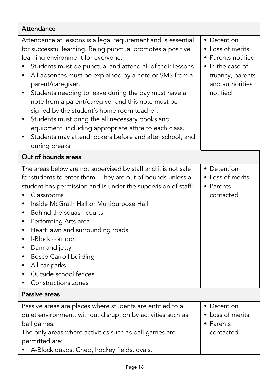| Attendance                                                                                                                                                                                                                                                                                                                                                                                                                                                                                                                                                                                                                                                             |                                                                                                                              |
|------------------------------------------------------------------------------------------------------------------------------------------------------------------------------------------------------------------------------------------------------------------------------------------------------------------------------------------------------------------------------------------------------------------------------------------------------------------------------------------------------------------------------------------------------------------------------------------------------------------------------------------------------------------------|------------------------------------------------------------------------------------------------------------------------------|
| Attendance at lessons is a legal requirement and is essential<br>for successful learning. Being punctual promotes a positive<br>learning environment for everyone.<br>Students must be punctual and attend all of their lessons.<br>All absences must be explained by a note or SMS from a<br>parent/caregiver.<br>Students needing to leave during the day must have a<br>note from a parent/caregiver and this note must be<br>signed by the student's home room teacher.<br>Students must bring the all necessary books and<br>equipment, including appropriate attire to each class.<br>Students may attend lockers before and after school, and<br>during breaks. | • Detention<br>• Loss of merits<br>• Parents notified<br>• In the case of<br>truancy, parents<br>and authorities<br>notified |
| Out of bounds areas                                                                                                                                                                                                                                                                                                                                                                                                                                                                                                                                                                                                                                                    |                                                                                                                              |
| The areas below are not supervised by staff and it is not safe<br>for students to enter them. They are out of bounds unless a<br>student has permission and is under the supervision of staff:<br>Classrooms<br>Inside McGrath Hall or Multipurpose Hall<br>Behind the squash courts<br>$\bullet$<br>Performing Arts area<br>٠<br>Heart lawn and surrounding roads<br>$\bullet$<br>I-Block corridor<br>Dam and jetty<br>٠<br><b>Bosco Carroll building</b><br>٠<br>All car parks<br>Outside school fences<br>Constructions zones                                                                                                                                       | • Detention<br>• Loss of merits<br>• Parents<br>contacted                                                                    |
| Passive areas                                                                                                                                                                                                                                                                                                                                                                                                                                                                                                                                                                                                                                                          |                                                                                                                              |
| Passive areas are places where students are entitled to a<br>quiet environment, without disruption by activities such as<br>ball games.<br>The only areas where activities such as ball games are<br>permitted are:<br>A-Block quads, Ched, hockey fields, ovals.                                                                                                                                                                                                                                                                                                                                                                                                      | • Detention<br>• Loss of merits<br>• Parents<br>contacted                                                                    |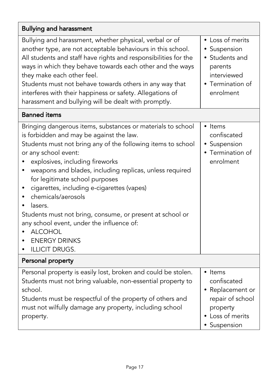| <b>Bullying and harassment</b>                                                                                                                                                                                                                                                                                                                                                                                                                                                                                                                                                                                |                                                                                                                       |
|---------------------------------------------------------------------------------------------------------------------------------------------------------------------------------------------------------------------------------------------------------------------------------------------------------------------------------------------------------------------------------------------------------------------------------------------------------------------------------------------------------------------------------------------------------------------------------------------------------------|-----------------------------------------------------------------------------------------------------------------------|
| Bullying and harassment, whether physical, verbal or of<br>another type, are not acceptable behaviours in this school.<br>All students and staff have rights and responsibilities for the<br>ways in which they behave towards each other and the ways<br>they make each other feel.<br>Students must not behave towards others in any way that<br>interferes with their happiness or safety. Allegations of<br>harassment and bullying will be dealt with promptly.                                                                                                                                          | $\bullet$ Loss of merits<br>• Suspension<br>• Students and<br>parents<br>interviewed<br>• Termination of<br>enrolment |
| <b>Banned</b> items                                                                                                                                                                                                                                                                                                                                                                                                                                                                                                                                                                                           |                                                                                                                       |
| Bringing dangerous items, substances or materials to school<br>is forbidden and may be against the law.<br>Students must not bring any of the following items to school<br>or any school event:<br>explosives, including fireworks<br>weapons and blades, including replicas, unless required<br>$\bullet$<br>for legitimate school purposes<br>cigarettes, including e-cigarettes (vapes)<br>٠<br>chemicals/aerosols<br>lasers.<br>Students must not bring, consume, or present at school or<br>any school event, under the influence of:<br><b>ALCOHOL</b><br><b>ENERGY DRINKS</b><br><b>ILLICIT DRUGS.</b> | • Items<br>confiscated<br>· Suspension<br>• Termination of<br>enrolment                                               |
| Personal property                                                                                                                                                                                                                                                                                                                                                                                                                                                                                                                                                                                             |                                                                                                                       |
| Personal property is easily lost, broken and could be stolen.<br>Students must not bring valuable, non-essential property to<br>school.<br>Students must be respectful of the property of others and<br>must not wilfully damage any property, including school<br>property.                                                                                                                                                                                                                                                                                                                                  | • Items<br>confiscated<br>• Replacement or<br>repair of school<br>property<br>Loss of merits<br>Suspension            |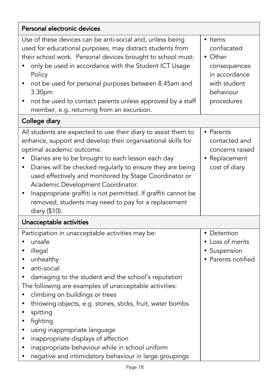| Personal electronic devices                                                                                                                                                                                                                                                                                                                                                                                                                                                                                                                                              |                                                                                                               |
|--------------------------------------------------------------------------------------------------------------------------------------------------------------------------------------------------------------------------------------------------------------------------------------------------------------------------------------------------------------------------------------------------------------------------------------------------------------------------------------------------------------------------------------------------------------------------|---------------------------------------------------------------------------------------------------------------|
| Use of these devices can be anti-social and, unless being<br>used for educational purposes, may distract students from<br>their school work. Personal devices brought to school must:<br>only be used in accordance with the Student ICT Usage<br>Policy<br>not be used for personal purposes between 8.45am and<br>٠<br>3.30pm<br>not be used to contact parents unless approved by a staff<br>٠<br>member, e.g. returning from an excursion.                                                                                                                           | • Items<br>confiscated<br>• Other<br>consequences<br>in accordance<br>with student<br>behaviour<br>procedures |
| College diary                                                                                                                                                                                                                                                                                                                                                                                                                                                                                                                                                            |                                                                                                               |
| All students are expected to use their diary to assist them to<br>enhance, support and develop their organisational skills for<br>optimal academic outcome.<br>Diaries are to be brought to each lesson each day<br>Diaries will be checked regularly to ensure they are being<br>$\bullet$<br>used effectively and monitored by Stage Coordinator or<br>Academic Development Coordinator.<br>Inappropriate graffiti is not permitted. If graffiti cannot be<br>٠<br>removed, students may need to pay for a replacement<br>diary (\$10).                                | • Parents<br>contacted and<br>concerns raised<br>• Replacement<br>cost of diary                               |
| Unacceptable activities                                                                                                                                                                                                                                                                                                                                                                                                                                                                                                                                                  |                                                                                                               |
| Participation in unacceptable activities may be:<br>unsafe<br>illegal<br>٠<br>unhealthy<br>٠<br>anti-social<br>$\bullet$<br>damaging to the student and the school's reputation<br>٠<br>The following are examples of unacceptable activities:<br>climbing on buildings or trees<br>throwing objects, e.g. stones, sticks, fruit, water bombs<br>spitting<br>fighting<br>using inappropriate language<br>٠<br>inappropriate displays of affection<br>٠<br>inappropriate behaviour while in school uniform<br>negative and intimidatory behaviour in large groupings<br>٠ | • Detention<br>• Loss of merits<br>• Suspension<br>• Parents notified                                         |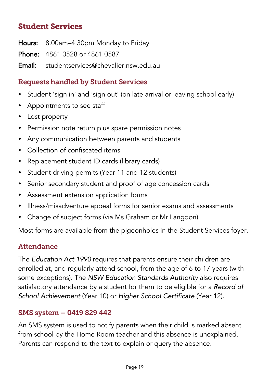# Student Services

Hours: 8.00am–4.30pm Monday to Friday

Phone: 4861 0528 or 4861 0587

**Email:** studentservices@chevalier.nsw.edu.au.

## Requests handled by Student Services

- Student 'sign in' and 'sign out' (on late arrival or leaving school early)
- Appointments to see staff
- Lost property
- Permission note return plus spare permission notes
- Any communication between parents and students
- Collection of confiscated items
- Replacement student ID cards (library cards)
- Student driving permits (Year 11 and 12 students)
- Senior secondary student and proof of age concession cards
- Assessment extension application forms
- Illness/misadventure appeal forms for senior exams and assessments
- Change of subject forms (via Ms Graham or Mr Langdon)

Most forms are available from the pigeonholes in the Student Services foyer.

## Attendance

The *Education Act 1990* requires that parents ensure their children are enrolled at, and regularly attend school, from the age of 6 to 17 years (with some exceptions). The *NSW Education Standards Authority* also requires satisfactory attendance by a student for them to be eligible for a *Record of School Achievement* (Year 10) or *Higher School Certificate* (Year 12).

## SMS system – 0419 829 442

An SMS system is used to notify parents when their child is marked absent from school by the Home Room teacher and this absence is unexplained. Parents can respond to the text to explain or query the absence.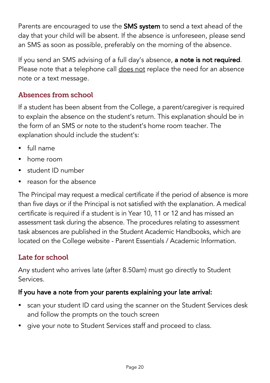Parents are encouraged to use the **SMS system** to send a text ahead of the day that your child will be absent. If the absence is unforeseen, please send an SMS as soon as possible, preferably on the morning of the absence.

If you send an SMS advising of a full day's absence, a note is not required. Please note that a telephone call does not replace the need for an absence note or a text message.

## Absences from school

If a student has been absent from the College, a parent/caregiver is required to explain the absence on the student's return. This explanation should be in the form of an SMS or note to the student's home room teacher. The explanation should include the student's:

- full name
- home room
- student ID number
- reason for the absence

The Principal may request a medical certificate if the period of absence is more than five days or if the Principal is not satisfied with the explanation. A medical certificate is required if a student is in Year 10, 11 or 12 and has missed an assessment task during the absence. The procedures relating to assessment task absences are published in the Student Academic Handbooks, which are located on the College website - Parent Essentials / Academic Information.

# Late for school

Any student who arrives late (after 8.50am) must go directly to Student Services.

## If you have a note from your parents explaining your late arrival:

- scan your student ID card using the scanner on the Student Services desk and follow the prompts on the touch screen
- give your note to Student Services staff and proceed to class.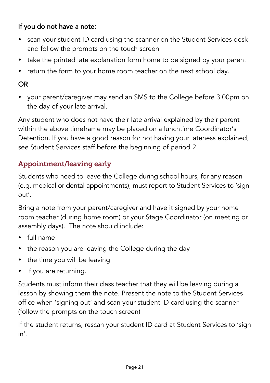## If you do not have a note:

- scan your student ID card using the scanner on the Student Services desk and follow the prompts on the touch screen
- take the printed late explanation form home to be signed by your parent
- return the form to your home room teacher on the next school day.

## OR

 your parent/caregiver may send an SMS to the College before 3.00pm on the day of your late arrival.

Any student who does not have their late arrival explained by their parent within the above timeframe may be placed on a lunchtime Coordinator's Detention. If you have a good reason for not having your lateness explained, see Student Services staff before the beginning of period 2.

## Appointment/leaving early

Students who need to leave the College during school hours, for any reason (e.g. medical or dental appointments), must report to Student Services to 'sign out'.

Bring a note from your parent/caregiver and have it signed by your home room teacher (during home room) or your Stage Coordinator (on meeting or assembly days). The note should include:

- full name
- the reason you are leaving the College during the day
- the time you will be leaving
- if you are returning.

Students must inform their class teacher that they will be leaving during a lesson by showing them the note. Present the note to the Student Services office when 'signing out' and scan your student ID card using the scanner (follow the prompts on the touch screen)

If the student returns, rescan your student ID card at Student Services to 'sign in'.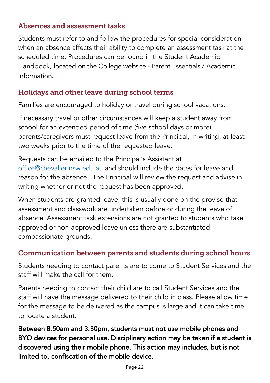## Absences and assessment tasks

Students must refer to and follow the procedures for special consideration when an absence affects their ability to complete an assessment task at the scheduled time. Procedures can be found in the Student Academic Handbook, located on the College website - Parent Essentials / Academic Information**.**

# Holidays and other leave during school terms

Families are encouraged to holiday or travel during school vacations.

If necessary travel or other circumstances will keep a student away from school for an extended period of time (five school days or more), parents/caregivers must request leave from the Principal, in writing, at least two weeks prior to the time of the requested leave.

Requests can be emailed to the Principal's Assistant at office@chevalier.nsw.edu.au and should include the dates for leave and reason for the absence. The Principal will review the request and advise in writing whether or not the request has been approved.

When students are granted leave, this is usually done on the proviso that assessment and classwork are undertaken before or during the leave of absence. Assessment task extensions are not granted to students who take approved or non-approved leave unless there are substantiated compassionate grounds.

## Communication between parents and students during school hours

Students needing to contact parents are to come to Student Services and the staff will make the call for them.

Parents needing to contact their child are to call Student Services and the staff will have the message delivered to their child in class. Please allow time for the message to be delivered as the campus is large and it can take time to locate a student.

Between 8.50am and 3.30pm, students must not use mobile phones and BYO devices for personal use. Disciplinary action may be taken if a student is discovered using their mobile phone. This action may includes, but is not limited to, confiscation of the mobile device.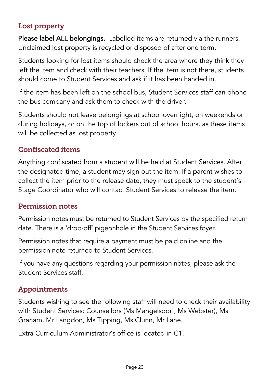## Lost property

Please label ALL belongings. Labelled items are returned via the runners. Unclaimed lost property is recycled or disposed of after one term.

Students looking for lost items should check the area where they think they left the item and check with their teachers. If the item is not there, students should come to Student Services and ask if it has been handed in.

If the item has been left on the school bus, Student Services staff can phone the bus company and ask them to check with the driver.

Students should not leave belongings at school overnight, on weekends or during holidays, or on the top of lockers out of school hours, as these items will be collected as lost property.

## Confiscated items

Anything confiscated from a student will be held at Student Services. After the designated time, a student may sign out the item. If a parent wishes to collect the item prior to the release date, they must speak to the student's Stage Coordinator who will contact Student Services to release the item.

#### Permission notes

Permission notes must be returned to Student Services by the specified return date. There is a 'drop-off' pigeonhole in the Student Services foyer.

Permission notes that require a payment must be paid online and the permission note returned to Student Services.

If you have any questions regarding your permission notes, please ask the Student Services staff.

## Appointments

Students wishing to see the following staff will need to check their availability with Student Services: Counsellors (Ms Mangelsdorf, Ms Webster), Ms Graham, Mr Langdon, Ms Tipping, Ms Clunn, Mr Lane.

Extra Curriculum Administrator's office is located in C1.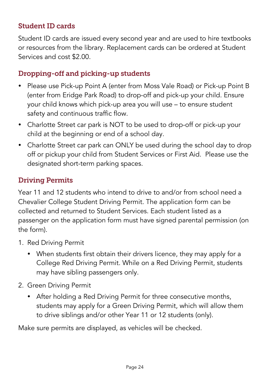## Student ID cards

Student ID cards are issued every second year and are used to hire textbooks or resources from the library. Replacement cards can be ordered at Student Services and cost \$2.00.

## Dropping-off and picking-up students

- Please use Pick-up Point A (enter from Moss Vale Road) or Pick-up Point B (enter from Eridge Park Road) to drop-off and pick-up your child. Ensure your child knows which pick-up area you will use – to ensure student safety and continuous traffic flow.
- Charlotte Street car park is NOT to be used to drop-off or pick-up your child at the beginning or end of a school day.
- Charlotte Street car park can ONLY be used during the school day to drop off or pickup your child from Student Services or First Aid. Please use the designated short-term parking spaces.

## Driving Permits

Year 11 and 12 students who intend to drive to and/or from school need a Chevalier College Student Driving Permit. The application form can be collected and returned to Student Services. Each student listed as a passenger on the application form must have signed parental permission (on the form).

- 1. Red Driving Permit
	- When students first obtain their drivers licence, they may apply for a College Red Driving Permit. While on a Red Driving Permit, students may have sibling passengers only.
- 2. Green Driving Permit
	- After holding a Red Driving Permit for three consecutive months, students may apply for a Green Driving Permit, which will allow them to drive siblings and/or other Year 11 or 12 students (only).

Make sure permits are displayed, as vehicles will be checked.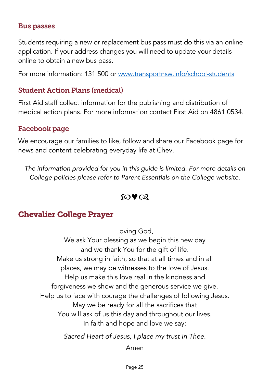#### Bus passes

Students requiring a new or replacement bus pass must do this via an online application. If your address changes you will need to update your details online to obtain a new bus pass.

For more information: 131 500 or www.transportnsw.info/school-students

#### Student Action Plans (medical)

First Aid staff collect information for the publishing and distribution of medical action plans. For more information contact First Aid on 4861 0534.

#### Facebook page

We encourage our families to like, follow and share our Facebook page for news and content celebrating everyday life at Chev.

*The information provided for you in this guide is limited. For more details on College policies please refer to Parent Essentials on the College website.*

#### $\omega \bullet \alpha$

## Chevalier College Prayer

Loving God,

We ask Your blessing as we begin this new day and we thank You for the gift of life. Make us strong in faith, so that at all times and in all places, we may be witnesses to the love of Jesus. Help us make this love real in the kindness and forgiveness we show and the generous service we give. Help us to face with courage the challenges of following Jesus. May we be ready for all the sacrifices that You will ask of us this day and throughout our lives. In faith and hope and love we say:

*Sacred Heart of Jesus, I place my trust in Thee.*

Amen